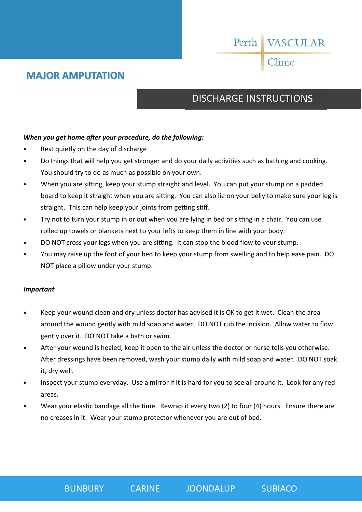### **MAJOR AMPUTATION**

# DISCHARGE INSTRUCTIONS

Perth VASCULAR

Clinic

#### When you get home after your procedure, do the following:

- Rest quietly on the day of discharge
- Do things that will help you get stronger and do your daily activities such as bathing and cooking. You should try to do as much as possible on your own.
- When you are sitting, keep your stump straight and level. You can put your stump on a padded board to keep it straight when you are sitting. You can also lie on your belly to make sure your leg is straight. This can help keep your joints from getting stiff.
- Try not to turn your stump in or out when you are lying in bed or sitting in a chair. You can use rolled up towels or blankets next to your lefts to keep them in line with your body.
- DO NOT cross your legs when you are sitting. It can stop the blood flow to your stump.
- You may raise up the foot of your bed to keep your stump from swelling and to help ease pain. DO NOT place a pillow under your stump.

#### *Important*

- Keep your wound clean and dry unless doctor has advised it is OK to get it wet. Clean the area around the wound gently with mild soap and water. DO NOT rub the incision. Allow water to flow gently over it. DO NOT take a bath or swim.
- After your wound is healed, keep it open to the air unless the doctor or nurse tells you otherwise. After dressings have been removed, wash your stump daily with mild soap and water. DO NOT soak it, dry well.
- Inspect your stump everyday. Use a mirror if it is hard for you to see all around it. Look for any red areas.
- Wear your elastic bandage all the time. Rewrap it every two  $(2)$  to four  $(4)$  hours. Ensure there are no creases in it. Wear your stump protector whenever you are out of bed.